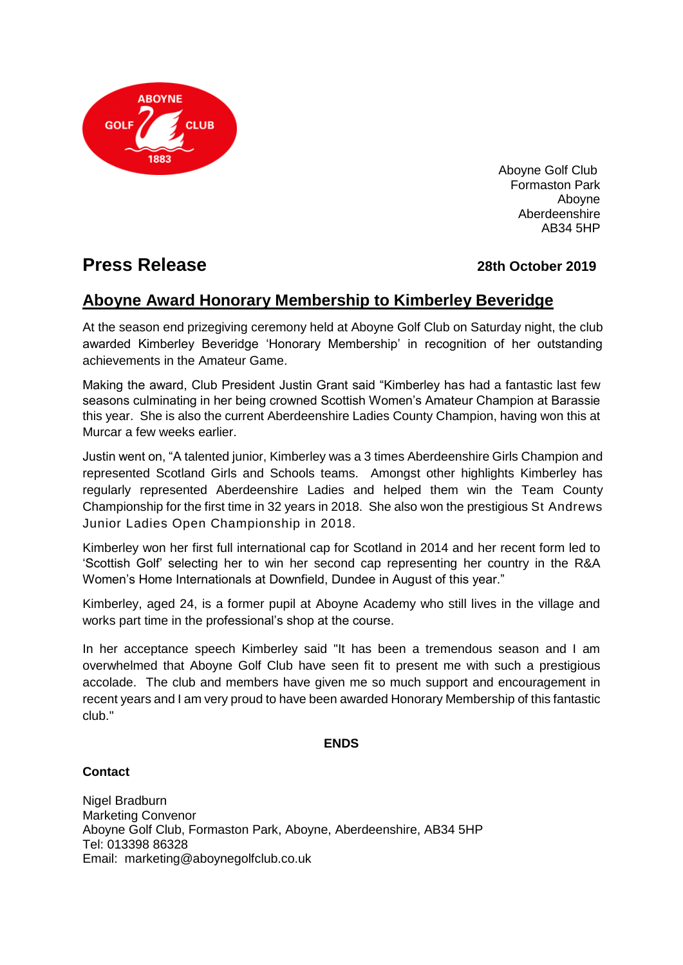

Aboyne Golf Club Formaston Park Aboyne Aberdeenshire AB34 5HP

# **Press Release** *28th October 2019*

## **Aboyne Award Honorary Membership to Kimberley Beveridge**

At the season end prizegiving ceremony held at Aboyne Golf Club on Saturday night, the club awarded Kimberley Beveridge 'Honorary Membership' in recognition of her outstanding achievements in the Amateur Game.

Making the award, Club President Justin Grant said "Kimberley has had a fantastic last few seasons culminating in her being crowned Scottish Women's Amateur Champion at Barassie this year. She is also the current Aberdeenshire Ladies County Champion, having won this at Murcar a few weeks earlier.

Justin went on, "A talented junior, Kimberley was a 3 times Aberdeenshire Girls Champion and represented Scotland Girls and Schools teams. Amongst other highlights Kimberley has regularly represented Aberdeenshire Ladies and helped them win the Team County Championship for the first time in 32 years in 2018. She also won the prestigious St Andrews Junior Ladies Open Championship in 2018.

Kimberley won her first full international cap for Scotland in 2014 and her recent form led to 'Scottish Golf' selecting her to win her second cap representing her country in the R&A Women's Home Internationals at Downfield, Dundee in August of this year."

Kimberley, aged 24, is a former pupil at Aboyne Academy who still lives in the village and works part time in the professional's shop at the course.

In her acceptance speech Kimberley said "It has been a tremendous season and I am overwhelmed that Aboyne Golf Club have seen fit to present me with such a prestigious accolade. The club and members have given me so much support and encouragement in recent years and I am very proud to have been awarded Honorary Membership of this fantastic club."

#### **ENDS**

### **Contact**

Nigel Bradburn Marketing Convenor Aboyne Golf Club, Formaston Park, Aboyne, Aberdeenshire, AB34 5HP Tel: 013398 86328 Email: marketing@aboynegolfclub.co.uk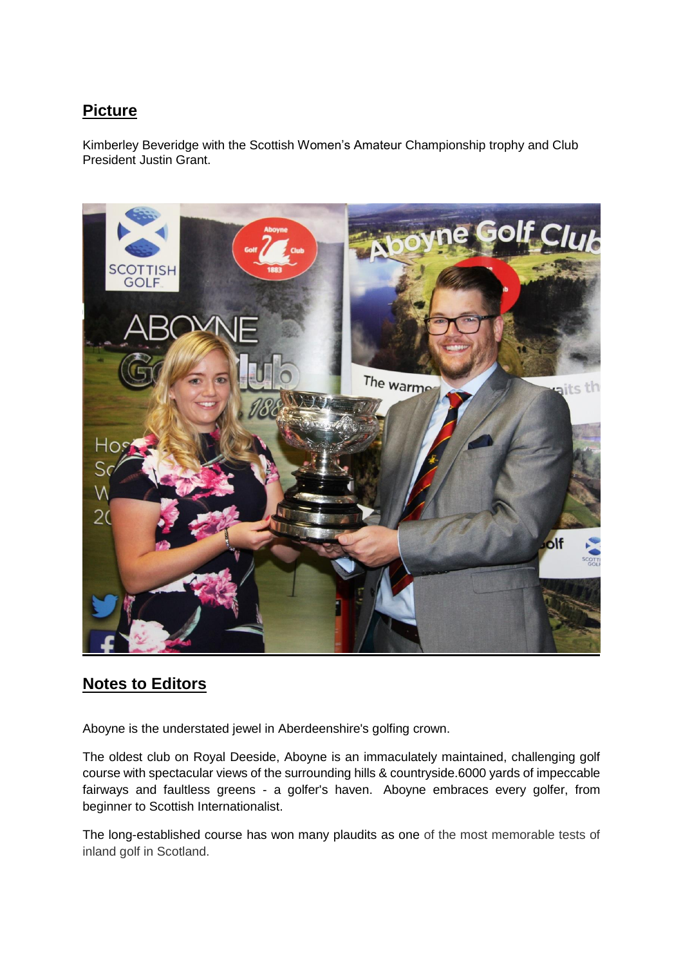# **Picture**

Kimberley Beveridge with the Scottish Women's Amateur Championship trophy and Club President Justin Grant.



## **Notes to Editors**

Aboyne is the understated jewel in Aberdeenshire's golfing crown.

The oldest club on Royal Deeside, Aboyne is an immaculately maintained, challenging golf course with spectacular views of the surrounding hills & countryside.6000 yards of impeccable fairways and faultless greens - a golfer's haven. Aboyne embraces every golfer, from beginner to Scottish Internationalist.

The long-established course has won many plaudits as one of the most memorable tests of inland golf in Scotland.